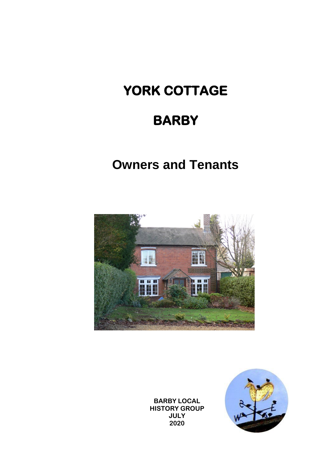# **YORK COTTAGE**

# **BARBY**

# **Owners and Tenants**



**BARBY LOCAL HISTORY GROUP JULY 2020**

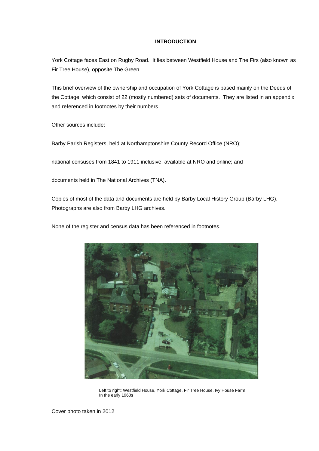# **INTRODUCTION**

York Cottage faces East on Rugby Road. It lies between Westfield House and The Firs (also known as Fir Tree House), opposite The Green.

This brief overview of the ownership and occupation of York Cottage is based mainly on the Deeds of the Cottage, which consist of 22 (mostly numbered) sets of documents. They are listed in an appendix and referenced in footnotes by their numbers.

Other sources include:

Barby Parish Registers, held at Northamptonshire County Record Office (NRO);

national censuses from 1841 to 1911 inclusive, available at NRO and online; and

documents held in The National Archives (TNA).

Copies of most of the data and documents are held by Barby Local History Group (Barby LHG). Photographs are also from Barby LHG archives.

None of the register and census data has been referenced in footnotes.



Left to right: Westfield House, York Cottage, Fir Tree House, Ivy House Farm In the early 1960s

Cover photo taken in 2012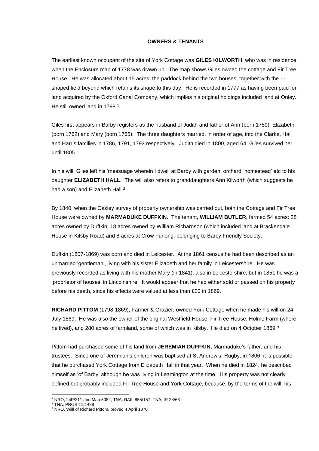# **OWNERS & TENANTS**

The earliest known occupant of the site of York Cottage was **GILES KILWORTH**, who was in residence when the Enclosure map of 1778 was drawn up. The map shows Giles owned the cottage and Fir Tree House. He was allocated about 15 acres: the paddock behind the two houses, together with the Lshaped field beyond which retains its shape to this day. He is recorded in 1777 as having been paid for land acquired by the Oxford Canal Company, which implies his original holdings included land at Onley. He still owned land in 1798.<sup>1</sup>

Giles first appears in Barby registers as the husband of Judith and father of Ann (born 1759), Elizabeth (born 1762) and Mary (born 1765). The three daughters married, in order of age, into the Clarke, Hall and Harris families in 1786, 1791, 1793 respectively. Judith died in 1800, aged 64; Giles survived her, until 1805.

In his will, Giles left his 'messuage wherein I dwell at Barby with garden, orchard, homestead' etc to his daughter **ELIZABETH HALL**. The will also refers to granddaughters Ann Kilworth (which suggests he had a son) and Elizabeth Hall.<sup>2</sup>

By 1840, when the Oakley survey of property ownership was carried out, both the Cottage and Fir Tree House were owned by **MARMADUKE DUFFKIN**. The tenant, **WILLIAM BUTLER**, farmed 54 acres: 28 acres owned by Duffkin, 18 acres owned by William Richardson (which included land at Brackendale House in Kilsby Road) and 8 acres at Crow Furlong, belonging to Barby Friendly Society.

Duffkin (1807-1869) was born and died in Leicester. At the 1861 census he had been described as an unmarried 'gentleman', living with his sister Elizabeth and her family in Leicestershire. He was previously recorded as living with his mother Mary (in 1841), also in Leicestershire; but in 1851 he was a 'proprietor of houses' in Lincolnshire. It would appear that he had either sold or passed on his property before his death, since his effects were valued at less than £20 in 1869.

**RICHARD PITTOM** (1798-1869), Farmer & Grazier, owned York Cottage when he made his will on 24 July 1869. He was also the owner of the original Westfield House, Fir Tree House, Holme Farm (where he lived), and 280 acres of farmland, some of which was in Kilsby. He died on 4 October 1869.<sup>3</sup>

Pittom had purchased some of his land from **JEREMIAH DUFFKIN**, Marmaduke's father, and his trustees. Since one of Jeremiah's children was baptised at St Andrew's, Rugby, in 1806, it is possible that he purchased York Cottage from Elizabeth Hall in that year. When he died in 1824, he described himself as 'of Barby' although he was living in Leamington at the time. His property was not clearly defined but probably included Fir Tree House and York Cottage, because, by the terms of the will, his

<sup>1</sup> NRO, 24P/211 and Map 5082; TNA, RAIL 855/157; TNA, IR 23/63

<sup>2</sup> TNA, PROB 11/1428

<sup>3</sup> NRO, Willl of Richard Pittom, proved 4 April 1870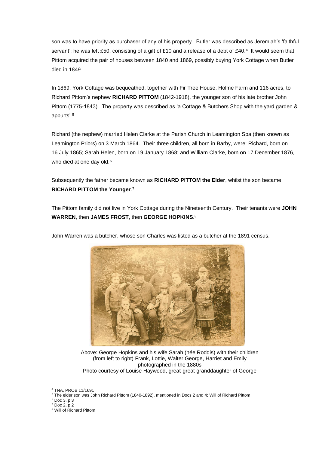son was to have priority as purchaser of any of his property. Butler was described as Jeremiah's 'faithful servant'; he was left £50, consisting of a gift of £10 and a release of a debt of £40.4 It would seem that Pittom acquired the pair of houses between 1840 and 1869, possibly buying York Cottage when Butler died in 1849.

In 1869, York Cottage was bequeathed, together with Fir Tree House, Holme Farm and 116 acres, to Richard Pittom's nephew **RICHARD PITTOM** (1842-1918), the younger son of his late brother John Pittom (1775-1843). The property was described as 'a Cottage & Butchers Shop with the yard garden & appurts'.<sup>5</sup>

Richard (the nephew) married Helen Clarke at the Parish Church in Leamington Spa (then known as Leamington Priors) on 3 March 1864. Their three children, all born in Barby, were: Richard, born on 16 July 1865; Sarah Helen, born on 19 January 1868; and William Clarke, born on 17 December 1876, who died at one day old.<sup>6</sup>

Subsequently the father became known as **RICHARD PITTOM the Elder**, whilst the son became **RICHARD PITTOM the Younger**. 7

The Pittom family did not live in York Cottage during the Nineteenth Century. Their tenants were **JOHN WARREN**, then **JAMES FROST**, then **GEORGE HOPKINS**. 8



John Warren was a butcher, whose son Charles was listed as a butcher at the 1891 census.

Above: George Hopkins and his wife Sarah (née Roddis) with their children (from left to right) Frank, Lottie, Walter George, Harriet and Emily photographed in the 1880s Photo courtesy of Louise Haywood, great-great granddaughter of George

<sup>4</sup> TNA, PROB 11/1691

<sup>5</sup> The elder son was John Richard Pittom (1840-1892), mentioned in Docs 2 and 4; Will of Richard Pittom

<sup>6</sup> Doc 3, p 3

 $7$  Doc 2, p 2

<sup>8</sup> Will of Richard Pittom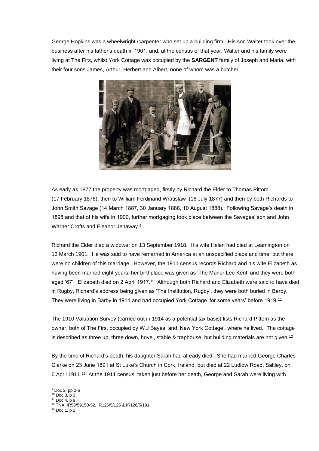George Hopkins was a wheelwright /carpenter who set up a building firm. His son Walter took over the business after his father's death in 1901, and, at the census of that year, Walter and his family were living at The Firs, whilst York Cottage was occupied by the **SARGENT** family of Joseph and Maria, with their four sons James, Arthur, Herbert and Albert, none of whom was a butcher.



As early as 1877 the property was mortgaged, firstly by Richard the Elder to Thomas Pittom (17 February 1876), then to William Ferdinand Wratislaw (16 July 1877) and then by both Richards to John Smith Savage (14 March 1887, 30 January 1888, 10 August 1888). Following Savage's death in 1898 and that of his wife in 1900, further mortgaging took place between the Savages' son and John Warner Crofts and Eleanor Jenaway.<sup>9</sup>

Richard the Elder died a widower on 13 September 1918. His wife Helen had died at Leamington on 13 March 1901. He was said to have remarried in America at an unspecified place and time, but there were no children of this marriage. However, the 1911 census records Richard and his wife Elizabeth as having been married eight years; her birthplace was given as 'The Manor Lee Kent' and they were both aged '67'. Elizabeth died on 2 April 1917.<sup>10</sup> Although both Richard and Elizabeth were said to have died in Rugby, Richard's address being given as 'The Institution, Rugby', they were both buried in Barby. They were living in Barby in 1911 and had occupied York Cottage 'for some years' before 1919.<sup>11</sup>

The 1910 Valuation Survey (carried out in 1914 as a potential tax basis) lists Richard Pittom as the owner, both of The Firs, occupied by W J Bayes, and 'New York Cottage', where he lived. The cottage is described as three up, three down, hovel, stable & traphouse, but building materials are not given.<sup>12</sup>

By the time of Richard's death, his daughter Sarah had already died. She had married George Charles Clarke on 23 June 1891 at St Luke's Church in Cork, Ireland, but died at 22 Ludlow Road, Saltley, on 6 April 1911.<sup>13</sup> At the 1911 census, taken just before her death, George and Sarah were living with

- $10$  Doc 3, p 3
- $11$  Doc 4, p 9

<sup>9</sup> Doc 2, pp 2-6

<sup>12</sup> TNA, IR58/59150-52, IR126/5/125 & IR126/5/191

<sup>13</sup> Doc 1, p 1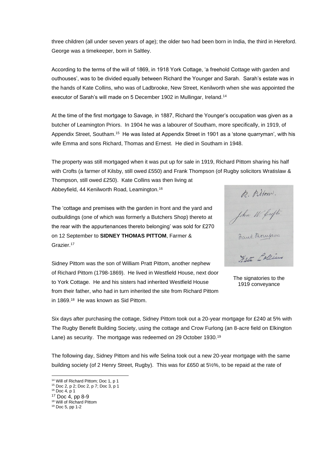three children (all under seven years of age); the older two had been born in India, the third in Hereford. George was a timekeeper, born in Saltley.

According to the terms of the will of 1869, in 1918 York Cottage, 'a freehold Cottage with garden and outhouses', was to be divided equally between Richard the Younger and Sarah. Sarah's estate was in the hands of Kate Collins, who was of Ladbrooke, New Street, Kenilworth when she was appointed the executor of Sarah's will made on 5 December 1902 in Mullingar, Ireland.<sup>14</sup>

At the time of the first mortgage to Savage, in 1887, Richard the Younger's occupation was given as a butcher of Leamington Priors. In 1904 he was a labourer of Southam, more specifically, in 1919, of Appendix Street, Southam.<sup>15</sup> He was listed at Appendix Street in 1901 as a 'stone quarryman', with his wife Emma and sons Richard, Thomas and Ernest. He died in Southam in 1948.

The property was still mortgaged when it was put up for sale in 1919, Richard Pittom sharing his half with Crofts (a farmer of Kilsby, still owed £550) and Frank Thompson (of Rugby solicitors Wratislaw &

Thompson, still owed £250). Kate Collins was then living at Abbeyfield, 44 Kenilworth Road, Leamington.<sup>16</sup>

R. Pillow.<br>John W. Crofts.<br>Rauk Morupow Hate Collin

The signatories to the 1919 conveyance

The 'cottage and premises with the garden in front and the yard and outbuildings (one of which was formerly a Butchers Shop) thereto at the rear with the appurtenances thereto belonging' was sold for £270 on 12 September to **SIDNEY THOMAS PITTOM**, Farmer & Grazier.<sup>17</sup>

Sidney Pittom was the son of William Pratt Pittom, another nephew of Richard Pittom (1798-1869). He lived in Westfield House, next door to York Cottage. He and his sisters had inherited Westfield House from their father, who had in turn inherited the site from Richard Pittom in 1869.<sup>18</sup> He was known as Sid Pittom.

Six days after purchasing the cottage, Sidney Pittom took out a 20-year mortgage for £240 at 5% with The Rugby Benefit Building Society, using the cottage and Crow Furlong (an 8-acre field on Elkington Lane) as security. The mortgage was redeemed on 29 October 1930.<sup>19</sup>

The following day, Sidney Pittom and his wife Selina took out a new 20-year mortgage with the same building society (of 2 Henry Street, Rugby). This was for £650 at 5½%, to be repaid at the rate of

<sup>&</sup>lt;sup>14</sup> Will of Richard Pittom; Doc 1, p 1

<sup>15</sup> Doc 2, p 2; Doc 2, p 7; Doc 3, p 1  $16$  Doc 4, p 1

<sup>17</sup> Doc 4, pp 8-9

<sup>&</sup>lt;sup>18</sup> Will of Richard Pittom

<sup>19</sup> Doc 5, pp 1-2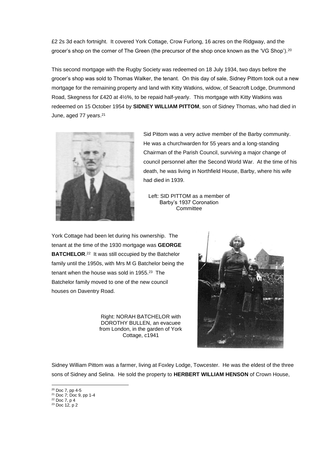£2 2s 3d each fortnight. It covered York Cottage, Crow Furlong, 16 acres on the Ridgway, and the grocer's shop on the corner of The Green (the precursor of the shop once known as the 'VG Shop').<sup>20</sup>

This second mortgage with the Rugby Society was redeemed on 18 July 1934, two days before the grocer's shop was sold to Thomas Walker, the tenant. On this day of sale, Sidney Pittom took out a new mortgage for the remaining property and land with Kitty Watkins, widow, of Seacroft Lodge, Drummond Road, Skegness for £420 at 4½%, to be repaid half-yearly. This mortgage with Kitty Watkins was redeemed on 15 October 1954 by **SIDNEY WILLIAM PITTOM**, son of Sidney Thomas, who had died in June, aged 77 years.<sup>21</sup>



Sid Pittom was a very active member of the Barby community. He was a churchwarden for 55 years and a long-standing Chairman of the Parish Council, surviving a major change of council personnel after the Second World War. At the time of his death, he was living in Northfield House, Barby, where his wife had died in 1939.

Left: SID PITTOM as a member of Barby's 1937 Coronation **Committee** 

York Cottage had been let during his ownership. The tenant at the time of the 1930 mortgage was **GEORGE BATCHELOR.**<sup>22</sup> It was still occupied by the Batchelor family until the 1950s, with Mrs M G Batchelor being the tenant when the house was sold in 1955.<sup>23</sup> The Batchelor family moved to one of the new council houses on Daventry Road.

> Right: NORAH BATCHELOR with DOROTHY BULLEN, an evacuee from London, in the garden of York Cottage, c1941



Sidney William Pittom was a farmer, living at Foxley Lodge, Towcester. He was the eldest of the three sons of Sidney and Selina. He sold the property to **HERBERT WILLIAM HENSON** of Crown House,

<sup>20</sup> Doc 7, pp 4-5

<sup>21</sup> Doc 7; Doc 9, pp 1-4

 $22$  Doc 7, p 4

<sup>23</sup> Doc 12, p 2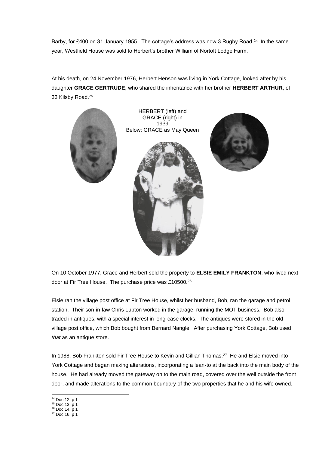Barby, for £400 on 31 January 1955. The cottage's address was now 3 Rugby Road.<sup>24</sup> In the same year, Westfield House was sold to Herbert's brother William of Nortoft Lodge Farm.

At his death, on 24 November 1976, Herbert Henson was living in York Cottage, looked after by his daughter **GRACE GERTRUDE**, who shared the inheritance with her brother **HERBERT ARTHUR**, of 33 Kilsby Road.<sup>25</sup>



HERBERT (left) and GRACE (right) in 1939 Below: GRACE as May Queen





On 10 October 1977, Grace and Herbert sold the property to **ELSIE EMILY FRANKTON**, who lived next door at Fir Tree House. The purchase price was £10500.<sup>26</sup>

Elsie ran the village post office at Fir Tree House, whilst her husband, Bob, ran the garage and petrol station. Their son-in-law Chris Lupton worked in the garage, running the MOT business. Bob also traded in antiques, with a special interest in long-case clocks. The antiques were stored in the old village post office, which Bob bought from Bernard Nangle. After purchasing York Cottage, Bob used *that* as an antique store.

In 1988, Bob Frankton sold Fir Tree House to Kevin and Gillian Thomas.<sup>27</sup> He and Elsie moved into York Cottage and began making alterations, incorporating a lean-to at the back into the main body of the house. He had already moved the gateway on to the main road, covered over the well outside the front door, and made alterations to the common boundary of the two properties that he and his wife owned.

- <sup>24</sup> Doc 12, p 1
- <sup>25</sup> Doc 13, p 1
- $26$  Doc 14, p 1

<sup>27</sup> Doc 16, p 1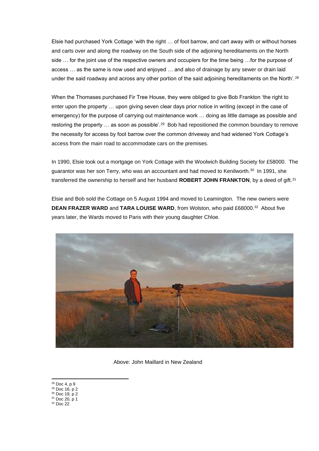Elsie had purchased York Cottage 'with the right … of foot barrow, and cart away with or without horses and carts over and along the roadway on the South side of the adjoining hereditaments on the North side … for the joint use of the respective owners and occupiers for the time being …for the purpose of access … as the same is now used and enjoyed … and also of drainage by any sewer or drain laid under the said roadway and across any other portion of the said adjoining hereditaments on the North'.<sup>28</sup>

When the Thomases purchased Fir Tree House, they were obliged to give Bob Frankton 'the right to enter upon the property … upon giving seven clear days prior notice in writing (except in the case of emergency) for the purpose of carrying out maintenance work … doing as little damage as possible and restoring the property ... as soon as possible'.<sup>29</sup> Bob had repositioned the common boundary to remove the necessity for access by foot barrow over the common driveway and had widened York Cottage's access from the main road to accommodate cars on the premises.

In 1990, Elsie took out a mortgage on York Cottage with the Woolwich Building Society for £58000. The guarantor was her son Terry, who was an accountant and had moved to Kenilworth.<sup>30</sup> In 1991, she transferred the ownership to herself and her husband **ROBERT JOHN FRANKTON**, by a deed of gift.<sup>31</sup>

Elsie and Bob sold the Cottage on 5 August 1994 and moved to Leamington. The new owners were **DEAN FRAZER WARD and TARA LOUISE WARD, from Wolston, who paid £68000.<sup>32</sup> About five** years later, the Wards moved to Paris with their young daughter Chloe.



Above: John Maillard in New Zealand

<sup>28</sup> Doc 4, p 9

<sup>29</sup> Doc 16, p 2 <sup>30</sup> Doc 19, p 2

 $31$  Doc 20, p 1

<sup>32</sup> Doc 22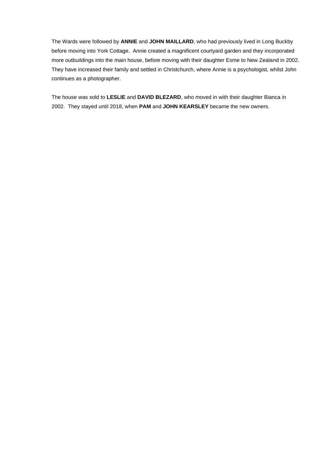The Wards were followed by **ANNIE** and **JOHN MAILLARD**, who had previously lived in Long Buckby before moving into York Cottage. Annie created a magnificent courtyard garden and they incorporated more outbuildings into the main house, before moving with their daughter Esme to New Zealand in 2002. They have increased their family and settled in Christchurch, where Annie is a psychologist, whilst John continues as a photographer.

The house was sold to **LESLIE** and **DAVID BLEZARD**, who moved in with their daughter Bianca in 2002. They stayed until 2018, when **PAM** and **JOHN KEARSLEY** became the new owners.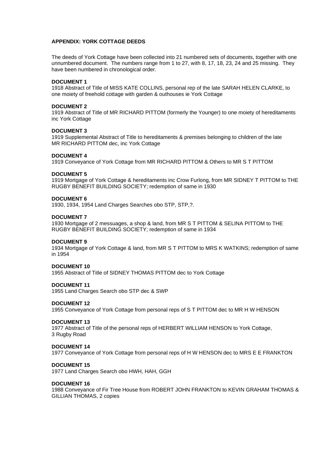# **APPENDIX: YORK COTTAGE DEEDS**

The deeds of York Cottage have been collected into 21 numbered sets of documents, together with one unnumbered document. The numbers range from 1 to 27, with 8, 17, 18, 23, 24 and 25 missing. They have been numbered in chronological order.

# **DOCUMENT 1**

1918 Abstract of Title of MISS KATE COLLINS, personal rep of the late SARAH HELEN CLARKE, to one moiety of freehold cottage with garden & outhouses ie York Cottage

# **DOCUMENT 2**

1919 Abstract of Title of MR RICHARD PITTOM (formerly the Younger) to one moiety of hereditaments inc York Cottage

### **DOCUMENT 3**

1919 Supplemental Abstract of Title to hereditaments & premises belonging to children of the late MR RICHARD PITTOM dec, inc York Cottage

### **DOCUMENT 4**

1919 Conveyance of York Cottage from MR RICHARD PITTOM & Others to MR S T PITTOM

### **DOCUMENT 5**

1919 Mortgage of York Cottage & hereditaments inc Crow Furlong, from MR SIDNEY T PITTOM to THE RUGBY BENEFIT BUILDING SOCIETY; redemption of same in 1930

### **DOCUMENT 6**

1930, 1934, 1954 Land Charges Searches obo STP, STP,?.

### **DOCUMENT 7**

1930 Mortgage of 2 messuages, a shop & land, from MR S T PITTOM & SELINA PITTOM to THE RUGBY BENEFIT BUILDING SOCIETY; redemption of same in 1934

#### **DOCUMENT 9**

1934 Mortgage of York Cottage & land, from MR S T PITTOM to MRS K WATKINS; redemption of same in 1954

# **DOCUMENT 10**

1955 Abstract of Title of SIDNEY THOMAS PITTOM dec to York Cottage

# **DOCUMENT 11**

1955 Land Charges Search obo STP dec & SWP

#### **DOCUMENT 12**

1955 Conveyance of York Cottage from personal reps of S T PITTOM dec to MR H W HENSON

#### **DOCUMENT 13**

1977 Abstract of Title of the personal reps of HERBERT WILLIAM HENSON to York Cottage, 3 Rugby Road

#### **DOCUMENT 14**

1977 Conveyance of York Cottage from personal reps of H W HENSON dec to MRS E E FRANKTON

# **DOCUMENT 15**

1977 Land Charges Search obo HWH, HAH, GGH

# **DOCUMENT 16**

1988 Conveyance of Fir Tree House from ROBERT JOHN FRANKTON to KEVIN GRAHAM THOMAS & GILLIAN THOMAS, 2 copies